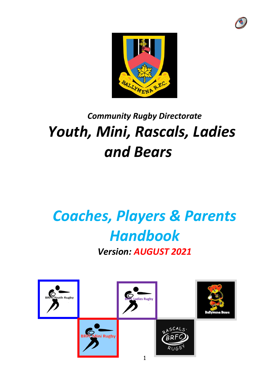



## *Community Rugby Directorate Youth, Mini, Rascals, Ladies and Bears*

# *Coaches, Players & Parents Handbook*

*Version: AUGUST 2021*

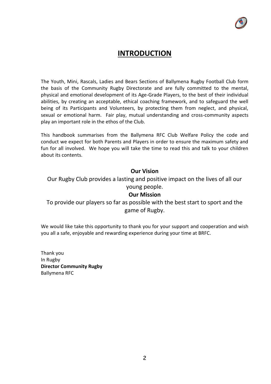

#### **INTRODUCTION**

The Youth, Mini, Rascals, Ladies and Bears Sections of Ballymena Rugby Football Club form the basis of the Community Rugby Directorate and are fully committed to the mental, physical and emotional development of its Age-Grade Players, to the best of their individual abilities, by creating an acceptable, ethical coaching framework, and to safeguard the well being of its Participants and Volunteers, by protecting them from neglect, and physical, sexual or emotional harm. Fair play, mutual understanding and cross-community aspects play an important role in the ethos of the Club.

This handbook summarises from the Ballymena RFC Club Welfare Policy the code and conduct we expect for both Parents and Players in order to ensure the maximum safety and fun for all involved. We hope you will take the time to read this and talk to your children about its contents.

#### **Our Vision**

Our Rugby Club provides a lasting and positive impact on the lives of all our young people.

#### **Our Mission**

To provide our players so far as possible with the best start to sport and the game of Rugby.

We would like take this opportunity to thank you for your support and cooperation and wish you all a safe, enjoyable and rewarding experience during your time at BRFC.

Thank you In Rugby **Director Community Rugby** Ballymena RFC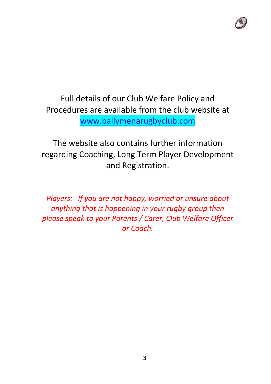

Full details of our Club Welfare Policy and Procedures are available from the club website at [www.ballymenarugbyclub.com](http://www.ballymenarugbyclub.com/)

The website also contains further information regarding Coaching, Long Term Player Development and Registration.

*Players: If you are not happy, worried or unsure about anything that is happening in your rugby group then please speak to your Parents / Carer, Club Welfare Officer or Coach.*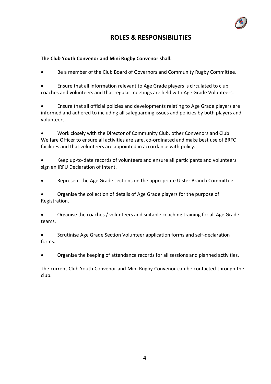#### **ROLES & RESPONSIBILITIES**

#### **The Club Youth Convenor and Mini Rugby Convenor shall:**

Be a member of the Club Board of Governors and Community Rugby Committee.

• Ensure that all information relevant to Age Grade players is circulated to club coaches and volunteers and that regular meetings are held with Age Grade Volunteers.

• Ensure that all official policies and developments relating to Age Grade players are informed and adhered to including all safeguarding issues and policies by both players and volunteers.

• Work closely with the Director of Community Club, other Convenors and Club Welfare Officer to ensure all activities are safe, co-ordinated and make best use of BRFC facilities and that volunteers are appointed in accordance with policy.

• Keep up-to-date records of volunteers and ensure all participants and volunteers sign an IRFU Declaration of Intent.

• Represent the Age Grade sections on the appropriate Ulster Branch Committee.

• Organise the collection of details of Age Grade players for the purpose of Registration.

• Organise the coaches / volunteers and suitable coaching training for all Age Grade teams.

• Scrutinise Age Grade Section Volunteer application forms and self-declaration forms.

• Organise the keeping of attendance records for all sessions and planned activities.

The current Club Youth Convenor and Mini Rugby Convenor can be contacted through the club.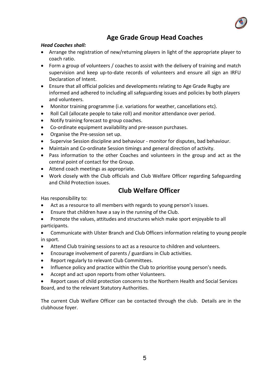

#### **Age Grade Group Head Coaches**

#### *Head Coaches shall:*

- Arrange the registration of new/returning players in light of the appropriate player to coach ratio.
- Form a group of volunteers / coaches to assist with the delivery of training and match supervision and keep up-to-date records of volunteers and ensure all sign an IRFU Declaration of Intent.
- Ensure that all official policies and developments relating to Age Grade Rugby are informed and adhered to including all safeguarding issues and policies by both players and volunteers.
- Monitor training programme (i.e. variations for weather, cancellations etc).
- Roll Call (allocate people to take roll) and monitor attendance over period.
- Notify training forecast to group coaches.
- Co-ordinate equipment availability and pre-season purchases.
- Organise the Pre-session set up.
- Supervise Session discipline and behaviour monitor for disputes, bad behaviour.
- Maintain and Co-ordinate Session timings and general direction of activity.
- Pass information to the other Coaches and volunteers in the group and act as the central point of contact for the Group.
- Attend coach meetings as appropriate.
- Work closely with the Club officials and Club Welfare Officer regarding Safeguarding and Child Protection issues.

#### **Club Welfare Officer**

Has responsibility to:

- Act as a resource to all members with regards to young person's issues.
- Ensure that children have a say in the running of the Club.
- Promote the values, attitudes and structures which make sport enjoyable to all participants.
- Communicate with Ulster Branch and Club Officers information relating to young people in sport.
- Attend Club training sessions to act as a resource to children and volunteers.
- Encourage involvement of parents / guardians in Club activities.
- Report regularly to relevant Club Committees.
- Influence policy and practice within the Club to prioritise young person's needs.
- Accept and act upon reports from other Volunteers.
- Report cases of child protection concerns to the Northern Health and Social Services Board, and to the relevant Statutory Authorities.

The current Club Welfare Officer can be contacted through the club. Details are in the clubhouse foyer.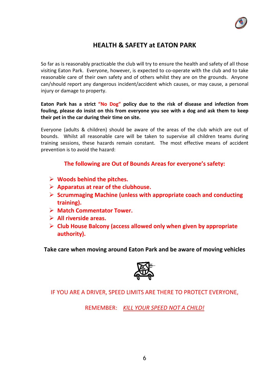

#### **HEALTH & SAFETY at EATON PARK**

So far as is reasonably practicable the club will try to ensure the health and safety of all those visiting Eaton Park. Everyone, however, is expected to co-operate with the club and to take reasonable care of their own safety and of others whilst they are on the grounds. Anyone can/should report any dangerous incident/accident which causes, or may cause, a personal injury or damage to property.

**Eaton Park has a strict "No Dog" policy due to the risk of disease and infection from fouling, please do insist on this from everyone you see with a dog and ask them to keep their pet in the car during their time on site.** 

Everyone (adults & children) should be aware of the areas of the club which are out of bounds. Whilst all reasonable care will be taken to supervise all children teams during training sessions, these hazards remain constant. The most effective means of accident prevention is to avoid the hazard:

**The following are Out of Bounds Areas for everyone's safety:**

- ➢ **Woods behind the pitches.**
- ➢ **Apparatus at rear of the clubhouse.**
- ➢ **Scrummaging Machine (unless with appropriate coach and conducting training).**
- ➢ **Match Commentator Tower.**
- ➢ **All riverside areas.**
- ➢ **Club House Balcony (access allowed only when given by appropriate authority).**

**Take care when moving around Eaton Park and be aware of moving vehicles**



IF YOU ARE A DRIVER, SPEED LIMITS ARE THERE TO PROTECT EVERYONE,

REMEMBER: *KILL YOUR SPEED NOT A CHILD!*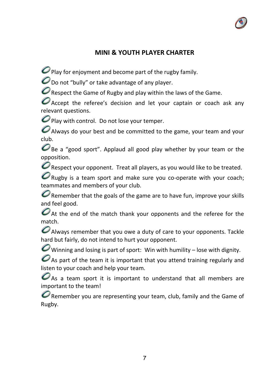

#### **MINI & YOUTH PLAYER CHARTER**

 $\mathcal O$  Play for enjoyment and become part of the rugby family.

 $\mathcal O$  Do not "bully" or take advantage of any player.

 $\mathcal O$  Respect the Game of Rugby and play within the laws of the Game.

 $\bullet$  Accept the referee's decision and let your captain or coach ask any relevant questions.

 $\mathcal O$  Play with control. Do not lose your temper.

 $\boldsymbol{O}$  Always do your best and be committed to the game, your team and your club.

 $\mathcal O$  Be a "good sport". Applaud all good play whether by your team or the opposition.

 $\mathcal O$  Respect your opponent. Treat all players, as you would like to be treated.

 $\mathcal O$  Rugby is a team sport and make sure you co-operate with your coach; teammates and members of your club.

 $\mathcal O$  Remember that the goals of the game are to have fun, improve your skills and feel good.

 $\mathcal O$  At the end of the match thank your opponents and the referee for the match.

 $\bullet$  Always remember that you owe a duty of care to your opponents. Tackle hard but fairly, do not intend to hurt your opponent.

 $\bullet$  Winning and losing is part of sport: Win with humility – lose with dignity.

 $\mathcal O$  As part of the team it is important that you attend training regularly and listen to your coach and help your team.

 $\mathcal O$  As a team sport it is important to understand that all members are important to the team!

 $\mathcal O$  Remember you are representing your team, club, family and the Game of Rugby.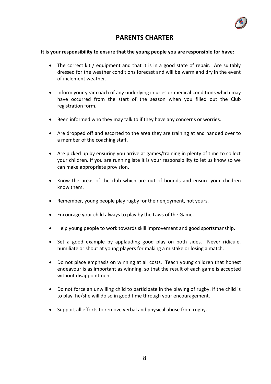

#### **PARENTS CHARTER**

#### **It is your responsibility to ensure that the young people you are responsible for have:**

- The correct kit / equipment and that it is in a good state of repair. Are suitably dressed for the weather conditions forecast and will be warm and dry in the event of inclement weather.
- Inform your year coach of any underlying injuries or medical conditions which may have occurred from the start of the season when you filled out the Club registration form.
- Been informed who they may talk to if they have any concerns or worries.
- Are dropped off and escorted to the area they are training at and handed over to a member of the coaching staff.
- Are picked up by ensuring you arrive at games/training in plenty of time to collect your children. If you are running late it is your responsibility to let us know so we can make appropriate provision.
- Know the areas of the club which are out of bounds and ensure your children know them.
- Remember, young people play rugby for their enjoyment, not yours.
- Encourage your child always to play by the Laws of the Game.
- Help young people to work towards skill improvement and good sportsmanship.
- Set a good example by applauding good play on both sides. Never ridicule, humiliate or shout at young players for making a mistake or losing a match.
- Do not place emphasis on winning at all costs. Teach young children that honest endeavour is as important as winning, so that the result of each game is accepted without disappointment.
- Do not force an unwilling child to participate in the playing of rugby. If the child is to play, he/she will do so in good time through your encouragement.
- Support all efforts to remove verbal and physical abuse from rugby.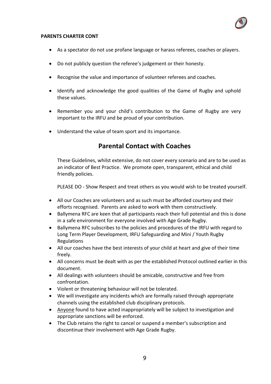

#### **PARENTS CHARTER CONT**

- As a spectator do not use profane language or harass referees, coaches or players.
- Do not publicly question the referee's judgement or their honesty.
- Recognise the value and importance of volunteer referees and coaches.
- Identify and acknowledge the good qualities of the Game of Rugby and uphold these values.
- Remember you and your child's contribution to the Game of Rugby are very important to the IRFU and be proud of your contribution.
- Understand the value of team sport and its importance.

#### **Parental Contact with Coaches**

These Guidelines, whilst extensive, do not cover every scenario and are to be used as an indicator of Best Practice. We promote open, transparent, ethical and child friendly policies.

PLEASE DO - Show Respect and treat others as you would wish to be treated yourself.

- All our Coaches are volunteers and as such must be afforded courtesy and their efforts recognised. Parents are asked to work with them constructively.
- Ballymena RFC are keen that all participants reach their full potential and this is done in a safe environment for everyone involved with Age Grade Rugby.
- Ballymena RFC subscribes to the policies and procedures of the IRFU with regard to Long Term Player Development, IRFU Safeguarding and Mini / Youth Rugby Regulations
- All our coaches have the best interests of your child at heart and give of their time freely.
- All concerns must be dealt with as per the established Protocol outlined earlier in this document.
- All dealings with volunteers should be amicable, constructive and free from confrontation.
- Violent or threatening behaviour will not be tolerated.
- We will investigate any incidents which are formally raised through appropriate channels using the established club disciplinary protocols.
- Anyone found to have acted inappropriately will be subject to investigation and appropriate sanctions will be enforced.
- The Club retains the right to cancel or suspend a member's subscription and discontinue their involvement with Age Grade Rugby.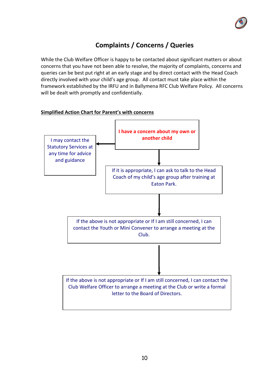

### **Complaints / Concerns / Queries**

While the Club Welfare Officer is happy to be contacted about significant matters or about concerns that you have not been able to resolve, the majority of complaints, concerns and queries can be best put right at an early stage and by direct contact with the Head Coach directly involved with your child's age group. All contact must take place within the framework established by the IRFU and in Ballymena RFC Club Welfare Policy. All concerns will be dealt with promptly and confidentially.

### **I have a concern about my own or another child** If it is appropriate, I can ask to talk to the Head Coach of my child's age group after training at Eaton Park. If the above is not appropriate or If I am still concerned, I can contact the Club Welfare Officer to arrange a meeting at the Club or write a formal letter to the Board of Directors. If the above is not appropriate or If I am still concerned, I can contact the Youth or Mini Convener to arrange a meeting at the Club. I may contact the Statutory Services at any time for advice and guidance

#### **Simplified Action Chart for Parent's with concerns**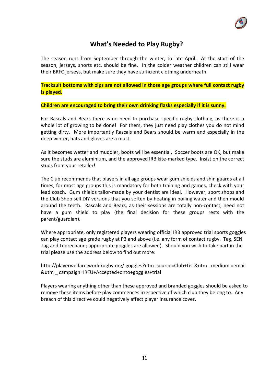

#### **What's Needed to Play Rugby?**

The season runs from September through the winter, to late April. At the start of the season, jerseys, shorts etc. should be fine. In the colder weather children can still wear their BRFC jerseys, but make sure they have sufficient clothing underneath.

**Tracksuit bottoms with zips are not allowed in those age groups where full contact rugby is played.**

**Children are encouraged to bring their own drinking flasks especially if it is sunny.**

For Rascals and Bears there is no need to purchase specific rugby clothing, as there is a whole lot of growing to be done! For them, they just need play clothes you do not mind getting dirty. More importantly Rascals and Bears should be warm and especially in the deep winter, hats and gloves are a must.

As it becomes wetter and muddier, boots will be essential. Soccer boots are OK, but make sure the studs are aluminium, and the approved IRB kite-marked type. Insist on the correct studs from your retailer!

The Club recommends that players in all age groups wear gum shields and shin guards at all times, for most age groups this is mandatory for both training and games, check with your lead coach. Gum shields tailor-made by your dentist are ideal. However, sport shops and the Club Shop sell DIY versions that you soften by heating in boiling water and then mould around the teeth. Rascals and Bears, as their sessions are totally non-contact, need not have a gum shield to play (the final decision for these groups rests with the parent/guardian).

Where appropriate, only registered players wearing official IRB approved trial sports goggles can play contact age grade rugby at P3 and above (i.e. any form of contact rugby. Tag, SEN Tag and Leprechaun; appropriate goggles are allowed). Should you wish to take part in the trial please use the address below to find out more:

http://playerwelfare.worldrugby.org/ goggles?utm\_source=Club+List&utm\_ medium =email &utm \_ campaign=IRFU+Accepted+onto+goggles+trial

Players wearing anything other than these approved and branded goggles should be asked to remove these items before play commences irrespective of which club they belong to. Any breach of this directive could negatively affect player insurance cover.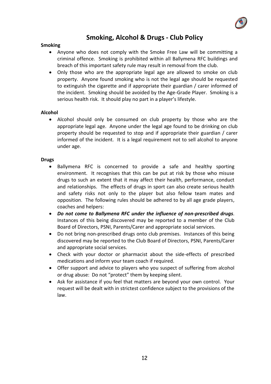

#### **Smoking, Alcohol & Drugs - Club Policy**

#### **Smoking**

- Anyone who does not comply with the Smoke Free Law will be committing a criminal offence. Smoking is prohibited within all Ballymena RFC buildings and breach of this important safety rule may result in removal from the club.
- Only those who are the appropriate legal age are allowed to smoke on club property. Anyone found smoking who is not the legal age should be requested to extinguish the cigarette and if appropriate their guardian / carer informed of the incident. Smoking should be avoided by the Age-Grade Player. Smoking is a serious health risk. It should play no part in a player's lifestyle.

#### **Alcohol**

• Alcohol should only be consumed on club property by those who are the appropriate legal age. Anyone under the legal age found to be drinking on club property should be requested to stop and if appropriate their guardian / carer informed of the incident. It is a legal requirement not to sell alcohol to anyone under age.

#### **Drugs**

- Ballymena RFC is concerned to provide a safe and healthy sporting environment. It recognises that this can be put at risk by those who misuse drugs to such an extent that it may affect their health, performance, conduct and relationships. The effects of drugs in sport can also create serious health and safety risks not only to the player but also fellow team mates and opposition. The following rules should be adhered to by all age grade players, coaches and helpers:
- *Do not come to Ballymena RFC under the influence of non-prescribed drugs*. Instances of this being discovered may be reported to a member of the Club Board of Directors, PSNI, Parents/Carer and appropriate social services.
- Do not bring non-prescribed drugs onto club premises. Instances of this being discovered may be reported to the Club Board of Directors, PSNI, Parents/Carer and appropriate social services.
- Check with your doctor or pharmacist about the side-effects of prescribed medications and inform your team coach if required.
- Offer support and advice to players who you suspect of suffering from alcohol or drug abuse: Do not "protect" them by keeping silent.
- Ask for assistance if you feel that matters are beyond your own control. Your request will be dealt with in strictest confidence subject to the provisions of the law.